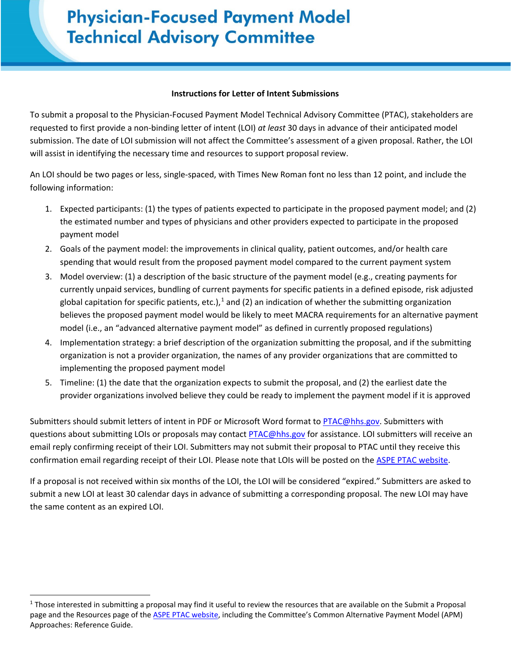## **Physician-Focused Payment Model Technical Advisory Committee (Please copy onto applicant letterhead)**

## **Instructions for Letter of Intent Submissions**

To submit a proposal to the Physician-Focused Payment Model Technical Advisory Committee (PTAC), stakeholders are requested to first provide a non-binding letter of intent (LOI) *at least* 30 days in advance of their anticipated model submission. The date of LOI submission will not affect the Committee's assessment of a given proposal. Rather, the LOI will assist in identifying the necessary time and resources to support proposal review.

An LOI should be two pages or less, single-spaced, with Times New Roman font no less than 12 point, and include the following information:

- 1. Expected participants: (1) the types of patients expected to participate in the proposed payment model; and (2) the estimated number and types of physicians and other providers expected to participate in the proposed payment model
- 2. Goals of the payment model: the improvements in clinical quality, patient outcomes, and/or health care spending that would result from the proposed payment model compared to the current payment system
- 3. Model overview: (1) a description of the basic structure of the payment model (e.g., creating payments for currently unpaid services, bundling of current payments for specific patients in a defined episode, risk adjusted global capitation for specific patients, etc.),<sup>[1](#page-0-0)</sup> and (2) an indication of whether the submitting organization believes the proposed payment model would be likely to meet MACRA requirements for an alternative payment model (i.e., an "advanced alternative payment model" as defined in currently proposed regulations)
- 4. Implementation strategy: a brief description of the organization submitting the proposal, and if the submitting organization is not a provider organization, the names of any provider organizations that are committed to implementing the proposed payment model
- 5. Timeline: (1) the date that the organization expects to submit the proposal, and (2) the earliest date the provider organizations involved believe they could be ready to implement the payment model if it is approved

Submitters should submit letters of intent in PDF or Microsoft Word format to [PTAC@hhs.gov.](mailto:PTAC@hhs.gov) Submitters with questions about submitting LOIs or proposals may contact [PTAC@hhs.gov](mailto:PTAC@hhs.gov) for assistance. LOI submitters will receive an email reply confirming receipt of their LOI. Submitters may not submit their proposal to PTAC until they receive this confirmation email regarding receipt of their LOI. Please note that LOIs will be posted on the [ASPE PTAC website.](https://aspe.hhs.gov/ptac-physician-focused-payment-model-technical-advisory-committee)

If a proposal is not received within six months of the LOI, the LOI will be considered "expired." Submitters are asked to submit a new LOI at least 30 calendar days in advance of submitting a corresponding proposal. The new LOI may have the same content as an expired LOI.

l

<span id="page-0-0"></span> $1$  Those interested in submitting a proposal may find it useful to review the resources that are available on the Submit a Proposal page and the Resources page of the **ASPE PTAC website**, including the Committee's Common Alternative Payment Model (APM) Approaches: Reference Guide.